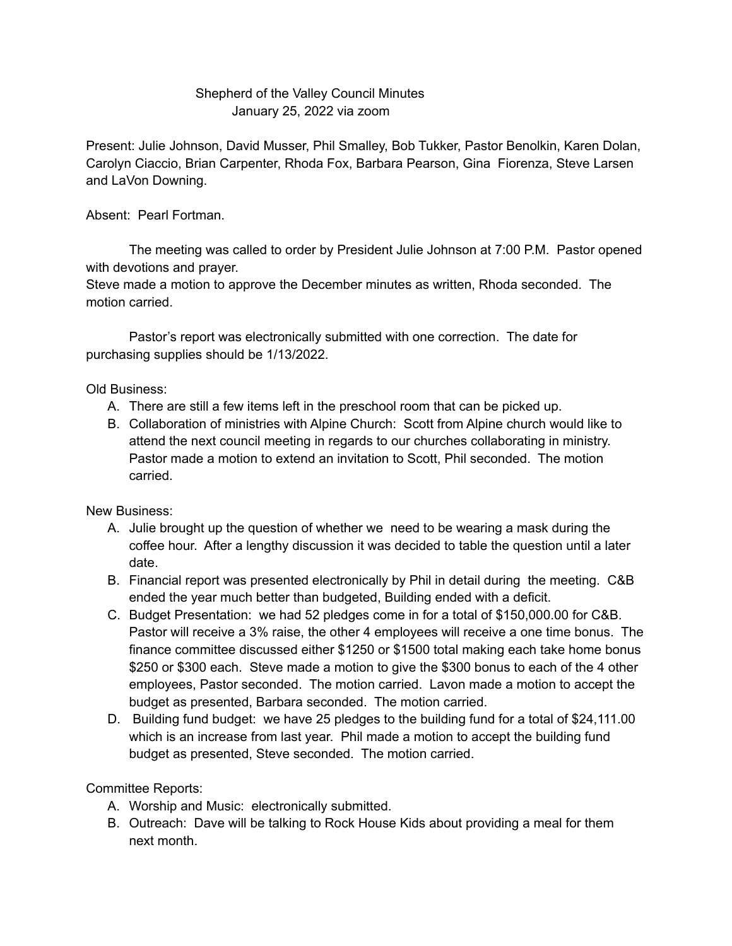## Shepherd of the Valley Council Minutes January 25, 2022 via zoom

Present: Julie Johnson, David Musser, Phil Smalley, Bob Tukker, Pastor Benolkin, Karen Dolan, Carolyn Ciaccio, Brian Carpenter, Rhoda Fox, Barbara Pearson, Gina Fiorenza, Steve Larsen and LaVon Downing.

Absent: Pearl Fortman.

The meeting was called to order by President Julie Johnson at 7:00 P.M. Pastor opened with devotions and prayer.

Steve made a motion to approve the December minutes as written, Rhoda seconded. The motion carried.

Pastor's report was electronically submitted with one correction. The date for purchasing supplies should be 1/13/2022.

Old Business:

- A. There are still a few items left in the preschool room that can be picked up.
- B. Collaboration of ministries with Alpine Church: Scott from Alpine church would like to attend the next council meeting in regards to our churches collaborating in ministry. Pastor made a motion to extend an invitation to Scott, Phil seconded. The motion carried.

New Business:

- A. Julie brought up the question of whether we need to be wearing a mask during the coffee hour. After a lengthy discussion it was decided to table the question until a later date.
- B. Financial report was presented electronically by Phil in detail during the meeting. C&B ended the year much better than budgeted, Building ended with a deficit.
- C. Budget Presentation: we had 52 pledges come in for a total of \$150,000.00 for C&B. Pastor will receive a 3% raise, the other 4 employees will receive a one time bonus. The finance committee discussed either \$1250 or \$1500 total making each take home bonus \$250 or \$300 each. Steve made a motion to give the \$300 bonus to each of the 4 other employees, Pastor seconded. The motion carried. Lavon made a motion to accept the budget as presented, Barbara seconded. The motion carried.
- D. Building fund budget: we have 25 pledges to the building fund for a total of \$24,111.00 which is an increase from last year. Phil made a motion to accept the building fund budget as presented, Steve seconded. The motion carried.

Committee Reports:

- A. Worship and Music: electronically submitted.
- B. Outreach: Dave will be talking to Rock House Kids about providing a meal for them next month.